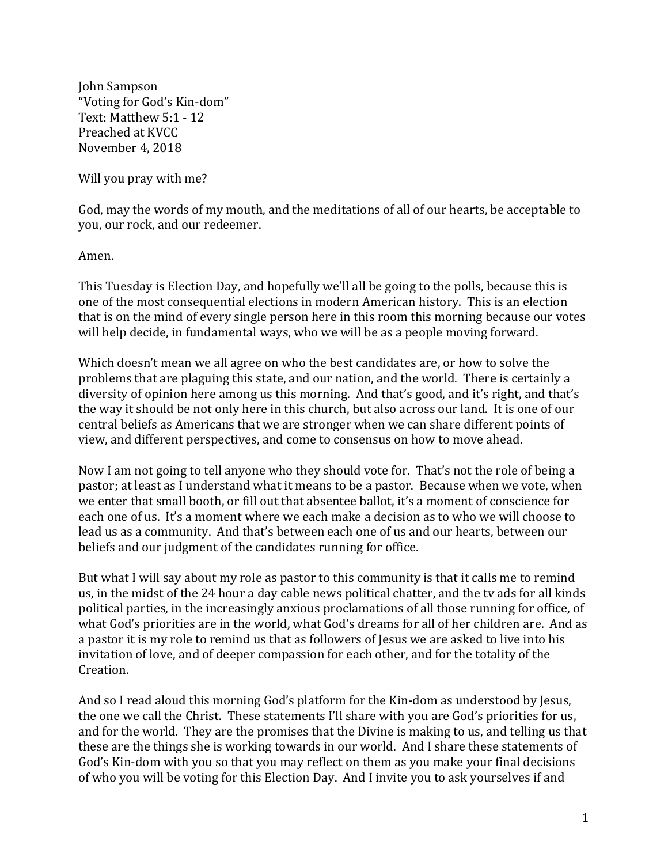John Sampson "Voting for God's Kin-dom" Text: Matthew 5:1 - 12 Preached at KVCC November 4, 2018

Will you pray with me?

God, may the words of my mouth, and the meditations of all of our hearts, be acceptable to you, our rock, and our redeemer.

Amen.

This Tuesday is Election Day, and hopefully we'll all be going to the polls, because this is one of the most consequential elections in modern American history. This is an election that is on the mind of every single person here in this room this morning because our votes will help decide, in fundamental ways, who we will be as a people moving forward.

Which doesn't mean we all agree on who the best candidates are, or how to solve the problems that are plaguing this state, and our nation, and the world. There is certainly a diversity of opinion here among us this morning. And that's good, and it's right, and that's the way it should be not only here in this church, but also across our land. It is one of our central beliefs as Americans that we are stronger when we can share different points of view, and different perspectives, and come to consensus on how to move ahead.

Now I am not going to tell anyone who they should vote for. That's not the role of being a pastor; at least as I understand what it means to be a pastor. Because when we vote, when we enter that small booth, or fill out that absentee ballot, it's a moment of conscience for each one of us. It's a moment where we each make a decision as to who we will choose to lead us as a community. And that's between each one of us and our hearts, between our beliefs and our judgment of the candidates running for office.

But what I will say about my role as pastor to this community is that it calls me to remind us, in the midst of the 24 hour a day cable news political chatter, and the tv ads for all kinds political parties, in the increasingly anxious proclamations of all those running for office, of what God's priorities are in the world, what God's dreams for all of her children are. And as a pastor it is my role to remind us that as followers of Jesus we are asked to live into his invitation of love, and of deeper compassion for each other, and for the totality of the Creation.

And so I read aloud this morning God's platform for the Kin-dom as understood by Jesus, the one we call the Christ. These statements I'll share with you are God's priorities for us, and for the world. They are the promises that the Divine is making to us, and telling us that these are the things she is working towards in our world. And I share these statements of God's Kin-dom with you so that you may reflect on them as you make your final decisions of who you will be voting for this Election Day. And I invite you to ask yourselves if and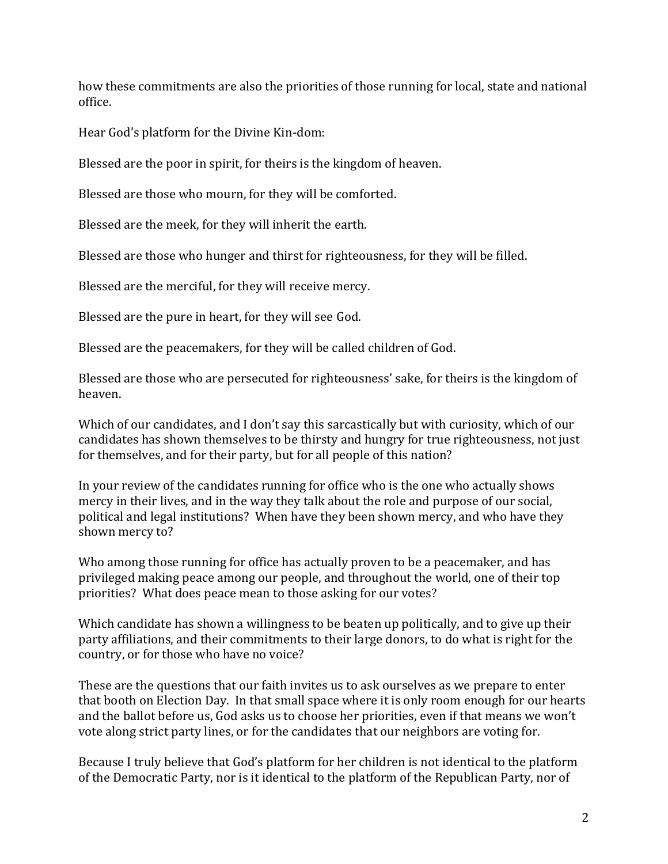how these commitments are also the priorities of those running for local, state and national office.

Hear God's platform for the Divine Kin-dom:

Blessed are the poor in spirit, for theirs is the kingdom of heaven.

Blessed are those who mourn, for they will be comforted.

Blessed are the meek, for they will inherit the earth.

Blessed are those who hunger and thirst for righteousness, for they will be filled.

Blessed are the merciful, for they will receive mercy.

Blessed are the pure in heart, for they will see God.

Blessed are the peacemakers, for they will be called children of God.

Blessed are those who are persecuted for righteousness' sake, for theirs is the kingdom of heaven.

Which of our candidates, and I don't say this sarcastically but with curiosity, which of our candidates has shown themselves to be thirsty and hungry for true righteousness, not just for themselves, and for their party, but for all people of this nation?

In your review of the candidates running for office who is the one who actually shows mercy in their lives, and in the way they talk about the role and purpose of our social, political and legal institutions? When have they been shown mercy, and who have they shown mercy to?

Who among those running for office has actually proven to be a peacemaker, and has privileged making peace among our people, and throughout the world, one of their top priorities? What does peace mean to those asking for our votes?

Which candidate has shown a willingness to be beaten up politically, and to give up their party affiliations, and their commitments to their large donors, to do what is right for the country, or for those who have no voice?

These are the questions that our faith invites us to ask ourselves as we prepare to enter that booth on Election Day. In that small space where it is only room enough for our hearts and the ballot before us, God asks us to choose her priorities, even if that means we won't vote along strict party lines, or for the candidates that our neighbors are voting for.

Because I truly believe that God's platform for her children is not identical to the platform of the Democratic Party, nor is it identical to the platform of the Republican Party, nor of